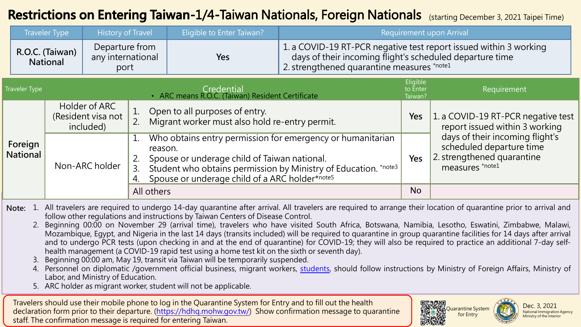### **Restrictions on Entering Taiwan-1/4-Taiwan Nationals, Foreign Nationals** (starting December 3, 2021 Taipei Time)

|                                                                                                                                                                         |                            | <b>Traveler Type</b>                             | <b>History of Travel</b>                                       |                                                                                        | Eligible to Enter Taiwan?                                                                                                                                                                                                                  | Requirement upon Arrival |                                                                                                                               |                                                                                                              |
|-------------------------------------------------------------------------------------------------------------------------------------------------------------------------|----------------------------|--------------------------------------------------|----------------------------------------------------------------|----------------------------------------------------------------------------------------|--------------------------------------------------------------------------------------------------------------------------------------------------------------------------------------------------------------------------------------------|--------------------------|-------------------------------------------------------------------------------------------------------------------------------|--------------------------------------------------------------------------------------------------------------|
|                                                                                                                                                                         |                            | R.O.C. (Taiwan)<br><b>National</b>               | Departure from<br>any international<br>port                    |                                                                                        | Yes<br>2. strengthened quarantine measures *note1                                                                                                                                                                                          |                          | 1. a COVID-19 RT-PCR negative test report issued within 3 working<br>days of their incoming flight's scheduled departure time |                                                                                                              |
| <b>Traveler Type</b>                                                                                                                                                    |                            |                                                  | Credential<br>• ARC means R.O.C. (Taiwan) Resident Certificate |                                                                                        | Eligible<br>to Enter<br>Taiwan?                                                                                                                                                                                                            | Requirement              |                                                                                                                               |                                                                                                              |
|                                                                                                                                                                         |                            | Holder of ARC<br>(Resident visa not<br>included) |                                                                | Open to all purposes of entry.<br>Migrant worker must also hold re-entry permit.<br>2. |                                                                                                                                                                                                                                            | Yes                      | 1. a COVID-19 RT-PCR negative test<br>report issued within 3 working                                                          |                                                                                                              |
|                                                                                                                                                                         | Foreign<br><b>National</b> | Non-ARC holder                                   |                                                                | 3.                                                                                     | Who obtains entry permission for emergency or humanitarian<br>reason.<br>Spouse or underage child of Taiwan national.<br>Student who obtains permission by Ministry of Education. *note3<br>Spouse or underage child of a ARC holder*note5 |                          | Yes                                                                                                                           | days of their incoming flight's<br>scheduled departure time<br>2. strengthened quarantine<br>measures *note1 |
|                                                                                                                                                                         |                            |                                                  |                                                                | All others                                                                             |                                                                                                                                                                                                                                            |                          | <b>No</b>                                                                                                                     |                                                                                                              |
| Note: 1. All travelers are required to undergo 14-day quarantine after arrival. All travelers are required to arrange their location of quarantine prior to arrival and |                            |                                                  |                                                                |                                                                                        |                                                                                                                                                                                                                                            |                          |                                                                                                                               |                                                                                                              |

follow other regulations and instructions by Taiwan Centers of Disease Control.

2. Beginning 00:00 on November 29 (arrival time), travelers who have visited South Africa, Botswana, Namibia, Lesotho, Eswatini, Zimbabwe, Malawi, Mozambique, Egypt, and Nigeria in the last 14 days (transits included) will be required to quarantine in group quarantine facilities for 14 days after arrival and to undergo PCR tests (upon checking in and at the end of quarantine) for COVID-19; they will also be required to practice an additional 7-day selfhealth management (a COVID-19 rapid test using a home test kit on the sixth or seventh day).

Beginning 00:00 am, May 19, transit via Taiwan will be temporarily suspended.

4. Personnel on diplomatic /government official business, migrant workers, [students,](#page-3-0) should follow instructions by Ministry of Foreign Affairs, Ministry of Labor, and Ministry of Education.

5. ARC holder as migrant worker, student will not be applicable.

Travelers should use their mobile phone to log in the Quarantine System for Entry and to fill out the health declaration form prior to their departure. [\(https://hdhq.mohw.gov.tw/\)](https://hdhq.mohw.gov.tw/) Show confirmation message to quarantine staff. The confirmation message is required for entering Taiwan.



Dec. 3, 2021 National Immigration Agency Ministry of the Interior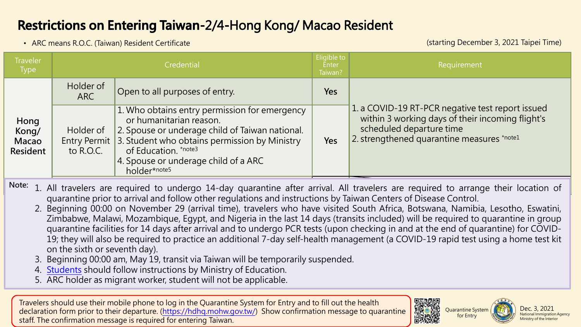## **Restrictions on Entering Taiwan-2/4-Hong Kong/ Macao Resident**

• ARC means R.O.C. (Taiwan) Resident Certificate

(starting December 3, 2021 Taipei Time)

| <b>Traveler</b><br><b>Type</b>            | Credential              |                                                                                                                                                                                                                                                                           |            | Requirement                                                                                                                                                                    |
|-------------------------------------------|-------------------------|---------------------------------------------------------------------------------------------------------------------------------------------------------------------------------------------------------------------------------------------------------------------------|------------|--------------------------------------------------------------------------------------------------------------------------------------------------------------------------------|
|                                           | Holder of<br><b>ARC</b> | Open to all purposes of entry.                                                                                                                                                                                                                                            | <b>Yes</b> |                                                                                                                                                                                |
| Hong<br>Kong/<br>Macao<br><b>Resident</b> | Holder of<br>to R.O.C.  | 1. Who obtains entry permission for emergency<br>or humanitarian reason.<br>2. Spouse or underage child of Taiwan national.<br>Entry Permit 3. Student who obtains permission by Ministry<br>of Education. *note3<br>4. Spouse or underage child of a ARC<br>holder*note5 |            | 1. a COVID-19 RT-PCR negative test report issued<br>within 3 working days of their incoming flight's<br>scheduled departure time<br>2. strengthened quarantine measures *note1 |

Note: 1. All travelers are required to undergo 14-day quarantine after arrival. All travelers are required to arrange their location of quarantine prior to arrival and follow other regulations and instructions by Taiwan Centers of Disease Control.

- 2. Beginning 00:00 on November 29 (arrival time), travelers who have visited South Africa, Botswana, Namibia, Lesotho, Eswatini, Zimbabwe, Malawi, Mozambique, Egypt, and Nigeria in the last 14 days (transits included) will be required to quarantine in group quarantine facilities for 14 days after arrival and to undergo PCR tests (upon checking in and at the end of quarantine) for COVID-19; they will also be required to practice an additional 7-day self-health management (a COVID-19 rapid test using a home test kit on the sixth or seventh day).
- 3. Beginning 00:00 am, May 19, transit via Taiwan will be temporarily suspended.
- 4. [Students](#page-3-0) should follow instructions by Ministry of Education.
- 5. ARC holder as migrant worker, student will not be applicable.

Travelers should use their mobile phone to log in the Quarantine System for Entry and to fill out the health declaration form prior to their departure. [\(https://hdhq.mohw.gov.tw/\)](https://hdhq.mohw.gov.tw/) Show confirmation message to quarantine staff. The confirmation message is required for entering Taiwan.





for Entry

Dec. 3, 2021 National Immigration Agency Ministry of the Interior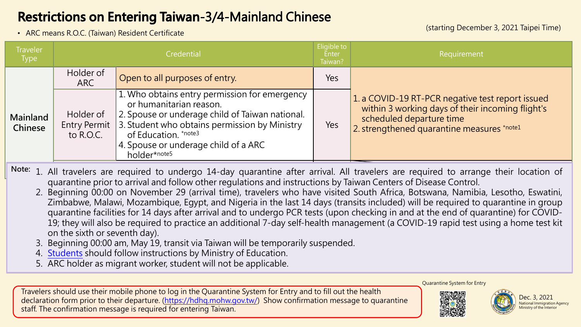# **Restrictions on Entering Taiwan-3/4-Mainland Chinese**

• ARC means R.O.C. (Taiwan) Resident Certificate (starting December 3, 2021 Taipei Time)

| <b>Traveler</b><br><b>Type</b> | Credential             |                                                                                                                                                                                                                                                                           | Eligible to<br><b>Enter</b><br>Taiwan? | Requirement                                                                                                                                                                    |
|--------------------------------|------------------------|---------------------------------------------------------------------------------------------------------------------------------------------------------------------------------------------------------------------------------------------------------------------------|----------------------------------------|--------------------------------------------------------------------------------------------------------------------------------------------------------------------------------|
|                                | Holder of<br>ARC       | Open to all purposes of entry.                                                                                                                                                                                                                                            | Yes                                    |                                                                                                                                                                                |
| Mainland<br>Chinese            | Holder of<br>to R.O.C. | 1. Who obtains entry permission for emergency<br>or humanitarian reason.<br>2. Spouse or underage child of Taiwan national.<br>Entry Permit 3. Student who obtains permission by Ministry<br>of Education. *note3<br>4. Spouse or underage child of a ARC<br>holder*note5 |                                        | 1. a COVID-19 RT-PCR negative test report issued<br>within 3 working days of their incoming flight's<br>scheduled departure time<br>2. strengthened quarantine measures *note1 |

Note: 1. All travelers are required to undergo 14-day quarantine after arrival. All travelers are required to arrange their location of quarantine prior to arrival and follow other regulations and instructions by Taiwan Centers of Disease Control.

- 2. Beginning 00:00 on November 29 (arrival time), travelers who have visited South Africa, Botswana, Namibia, Lesotho, Eswatini, Zimbabwe, Malawi, Mozambique, Egypt, and Nigeria in the last 14 days (transits included) will be required to quarantine in group quarantine facilities for 14 days after arrival and to undergo PCR tests (upon checking in and at the end of quarantine) for COVID-19; they will also be required to practice an additional 7-day self-health management (a COVID-19 rapid test using a home test kit on the sixth or seventh day).
- 3. Beginning 00:00 am, May 19, transit via Taiwan will be temporarily suspended.
- 4. Students should follow instructions by Ministry of Education.
- 5. ARC holder as migrant worker, student will not be applicable.

Travelers should use their mobile phone to log in the Quarantine System for Entry and to fill out the health declaration form prior to their departure. (<https://hdhq.mohw.gov.tw/>) Show confirmation message to quarantine staff. The confirmation message is required for entering Taiwan.

Quarantine System for Entry



Dec. 3, 2021 National Immigration Agency Ministry of the Interior